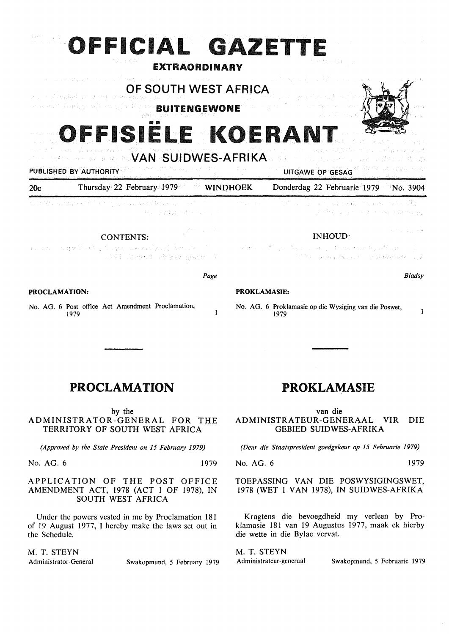# OFFICIAL GAZETTE

#### EXTRAORDINARY

OF SOUTH WEST AFRICA

بقائع والمتاريخ والمراكبي أعطار ووجائي والرابل indig all sugli bit no BUITENGEWONE



FISIËLE KOERANT

WAN SUIDWES-AFRIKA

#### PUBLISHED BY AUTHORITY UITGAWE OP GESAG

 $\mathcal{L}^{(2)}_{\rm{L}}$  ,  $\mathcal{L}$ 

#### 20c Thursday 22 February 1979 WINDHOEK Donderdag 22 Februarie 1979 No. 3904

e, SIA, gegyeszt Service County College pro Adding that which was

#### CONTENTS:

Commodered Brazil Service College oppelina in L 六对 Riamon 活动, good V

*Page* 

 $\mathbf{1}$ 

#### **PROCLAMATION:**

and the company of

No. AG. 6 Post office Act Amendment Proclamation, 1979

e Papa S  $\pm$   $\beta^2$ Set Seember mar a say W. A. Company of the manufacturing

Section Engineering

#### INHOUD:

and the state of the state of the state of the state of the state of the state of the state of the state of the ครั้งได้ 1 การทุกครั้ง เราะ เราะ และ 1 การทำให้เหมืองคน 1940 การเราะ เช่

*Bladsy* 

#### **PROKLAMASIE:**

ni d

No. AG. 6 Proklamasie op die Wysiging van die Poswet,  $\mathbf{1}$ 1979

### PROCLAMATION

by the

ADMINISTRATOR-GENERAL FOR THE TERRITORY OF SOUTH WEST AFRICA

*(Approved by the State President on 15 February 1979)* 

No. AG. 6 1979

#### APPLICATION OF THE POST OFFICE AMENDMENT ACT, 1978 (ACT 1 OF 1978), IN SOUTH WEST AFRICA

Under the powers vested in me by Proclamation 181 of 19 August 1977, I hereby make the laws set out in the Schedule.

M. T. **STEYN** 

Administrator-General Swakopmund, *5* February 1979

### PROKLAMASIE

van die ADMINISTRATEUR-GENERAAL VIR DIE GEBIED SUIDWES-AFRIKA

*(Deur die Staatspresident goedgekeur op 15 Februarie 1979)* 

No. AG. 6 1979

TOEPASSING VAN DIE POSWYSIGINGSWET, 1978 (WET 1 VAN 1978), IN SUIDWES-AFRIKA

Kragtens die bevoegdheid my verleen by Proklamasie 181 van 19 Augustus 1977, maak ek hierby die wette in die Bylae vervat.

M. T. STEYN

Administrateur-generaal Swakopmund, *5* Februarie 1979